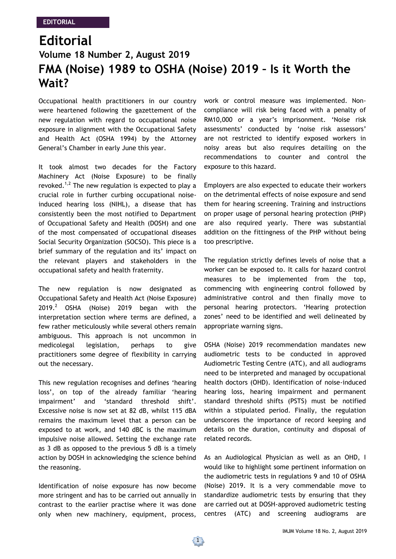## **Editorial FMA (Noise) 1989 to OSHA (Noise) 2019 – Is it Worth the Wait? Volume 18 Number 2, August 2019**

Occupational health practitioners in our country were heartened following the gazettement of the new regulation with regard to occupational noise exposure in alignment with the Occupational Safety and Health Act (OSHA 1994) by the Attorney General's Chamber in early June this year.

It took almost two decades for the Factory Machinery Act (Noise Exposure) to be finally revoked.<sup>1,2</sup> The new regulation is expected to play a crucial role in further curbing occupational noiseinduced hearing loss (NIHL), a disease that has consistently been the most notified to Department of Occupational Safety and Health (DOSH) and one of the most compensated of occupational diseases Social Security Organization (SOCSO). This piece is a brief summary of the regulation and its' impact on the relevant players and stakeholders in the occupational safety and health fraternity.

The new regulation is now designated as Occupational Safety and Health Act (Noise Exposure) 2019.<sup>2</sup> OSHA (Noise) 2019 began with the interpretation section where terms are defined, a few rather meticulously while several others remain ambiguous. This approach is not uncommon in medicolegal legislation, perhaps to give practitioners some degree of flexibility in carrying out the necessary.

This new regulation recognises and defines 'hearing loss', on top of the already familiar 'hearing impairment' and 'standard threshold shift'. Excessive noise is now set at 82 dB, whilst 115 dBA remains the maximum level that a person can be exposed to at work, and 140 dBC is the maximum impulsive noise allowed. Setting the exchange rate as 3 dB as opposed to the previous 5 dB is a timely action by DOSH in acknowledging the science behind the reasoning.

Identification of noise exposure has now become more stringent and has to be carried out annually in contrast to the earlier practise where it was done only when new machinery, equipment, process, work or control measure was implemented. Noncompliance will risk being faced with a penalty of RM10,000 or a year's imprisonment. 'Noise risk assessments' conducted by 'noise risk assessors' are not restricted to identify exposed workers in noisy areas but also requires detailing on the recommendations to counter and control the exposure to this hazard.

Employers are also expected to educate their workers on the detrimental effects of noise exposure and send them for hearing screening. Training and instructions on proper usage of personal hearing protection (PHP) are also required yearly. There was substantial addition on the fittingness of the PHP without being too prescriptive.

The regulation strictly defines levels of noise that a worker can be exposed to. It calls for hazard control measures to be implemented from the top, commencing with engineering control followed by administrative control and then finally move to personal hearing protectors. 'Hearing protection zones' need to be identified and well delineated by appropriate warning signs.

OSHA (Noise) 2019 recommendation mandates new audiometric tests to be conducted in approved Audiometric Testing Centre (ATC), and all audiograms need to be interpreted and managed by occupational health doctors (OHD). Identification of noise-induced hearing loss, hearing impairment and permanent standard threshold shifts (PSTS) must be notified within a stipulated period. Finally, the regulation underscores the importance of record keeping and details on the duration, continuity and disposal of related records.

As an Audiological Physician as well as an OHD, I would like to highlight some pertinent information on the audiometric tests in regulations 9 and 10 of OSHA (Noise) 2019. It is a very commendable move to standardize audiometric tests by ensuring that they are carried out at DOSH-approved audiometric testing centres (ATC) and screening audiograms are